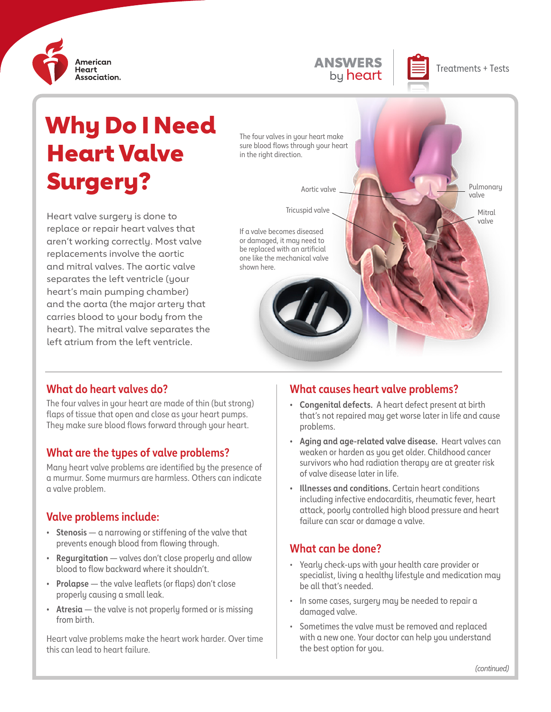

# **ANSWERS Depart Treatments + Tests**

Pulmonary valve

> Mitral valve

# Why Do I Need Heart Valve Surgery?

Heart valve surgery is done to replace or repair heart valves that aren't working correctly. Most valve replacements involve the aortic and mitral valves. The aortic valve separates the left ventricle (your heart's main pumping chamber) and the aorta (the major artery that carries blood to your body from the heart). The mitral valve separates the left atrium from the left ventricle.

The four valves in your heart make sure blood flows through your heart in the right direction.

# If a valve becomes diseased or damaged, it may need to be replaced with an artificial one like the mechanical valve shown here. Aortic valve Tricuspid valve

#### **What do heart valves do?**

The four valves in your heart are made of thin (but strong) flaps of tissue that open and close as your heart pumps. They make sure blood flows forward through your heart.

#### **What are the types of valve problems?**

Many heart valve problems are identified by the presence of a murmur. Some murmurs are harmless. Others can indicate a valve problem.

#### **Valve problems include:**

- **• Stenosis** a narrowing or stiffening of the valve that prevents enough blood from flowing through.
- **• Regurgitation** valves don't close properly and allow blood to flow backward where it shouldn't.
- **• Prolapse** the valve leaflets (or flaps) don't close properly causing a small leak.
- **• Atresia** the valve is not properly formed or is missing from birth.

Heart valve problems make the heart work harder. Over time this can lead to heart failure.

## **What causes heart valve problems?**

- **• Congenital defects.** A heart defect present at birth that's not repaired may get worse later in life and cause problems.
- **• Aging and age-related valve disease.** Heart valves can weaken or harden as you get older. Childhood cancer survivors who had radiation therapy are at greater risk of valve disease later in life.
- **• Illnesses and conditions.** Certain heart conditions including infective endocarditis, rheumatic fever, heart attack, poorly controlled high blood pressure and heart failure can scar or damage a valve.

## **What can be done?**

- Yearly check-ups with your health care provider or specialist, living a healthy lifestyle and medication may be all that's needed.
- In some cases, surgery may be needed to repair a damaged valve.
- Sometimes the valve must be removed and replaced with a new one. Your doctor can help you understand the best option for you.